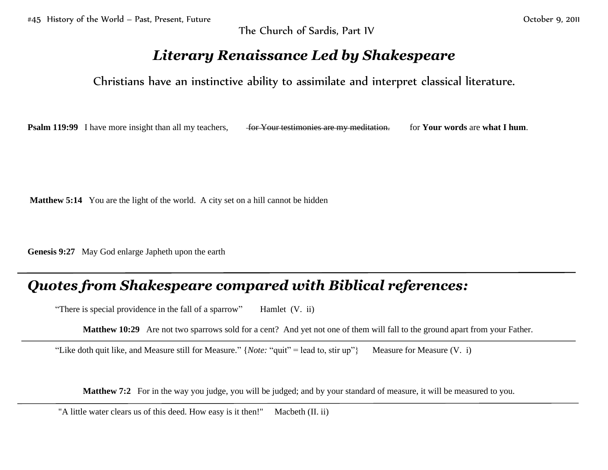The Church of Sardis, Part IV

## *Literary Renaissance Led by Shakespeare*

Christians have an instinctive ability to assimilate and interpret classical literature.

**Psalm 119:99** I have more insight than all my teachers, <del>for Your testimonies are my meditation.</del> for **Your words** are **what I hum**.

**Matthew 5:14** You are the light of the world. A city set on a hill cannot be hidden

**Genesis 9:27** May God enlarge Japheth upon the earth

## *Quotes from Shakespeare compared with Biblical references:*

"There is special providence in the fall of a sparrow" Hamlet (V. ii)

**Matthew 10:29** Are not two sparrows sold for a cent? And yet not one of them will fall to the ground apart from your Father.

"Like doth quit like, and Measure still for Measure." {*Note:* "quit" = lead to, stir up"} Measure for Measure (V. i)

**Matthew 7:2** For in the way you judge, you will be judged; and by your standard of measure, it will be measured to you.

"A little water clears us of this deed. How easy is it then!" Macbeth (II. ii)